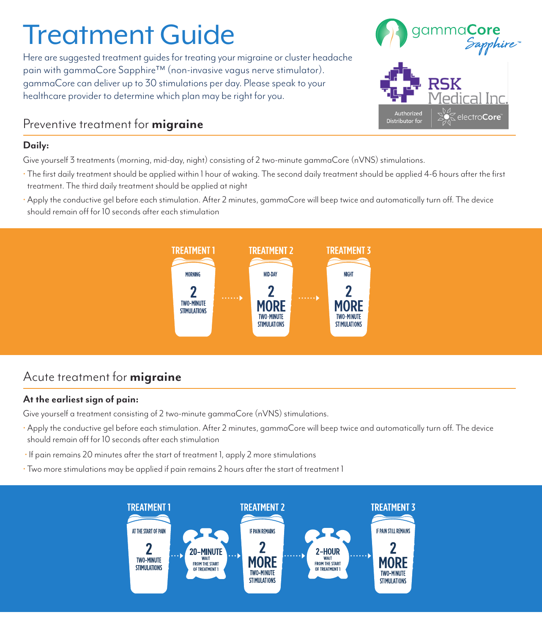# Treatment Guide

Here are suggested treatment guides for treating your migraine or cluster headache pain with gammaCore Sapphire™ (non-invasive vagus nerve stimulator). gammaCore can deliver up to 30 stimulations per day. Please speak to your healthcare provider to determine which plan may be right for you.

## Preventive treatment for **migraine**

#### **Daily:**

Give yourself 3 treatments (morning, mid-day, night) consisting of 2 two-minute gammaCore (nVNS) stimulations.

- The first daily treatment should be applied within 1 hour of waking. The second daily treatment should be applied 4-6 hours after the first treatment. The third daily treatment should be applied at night
- Apply the conductive gel before each stimulation. After 2 minutes, gammaCore will beep twice and automatically turn off. The device should remain off for 10 seconds after each stimulation



## Acute treatment for **migraine**

### **At the earliest sign of pain:**

Give yourself a treatment consisting of 2 two-minute gammaCore (nVNS) stimulations.

- Apply the conductive gel before each stimulation. After 2 minutes, gammaCore will beep twice and automatically turn off. The device should remain off for 10 seconds after each stimulation
- If pain remains 20 minutes after the start of treatment 1, apply 2 more stimulations
- Two more stimulations may be applied if pain remains 2 hours after the start of treatment 1